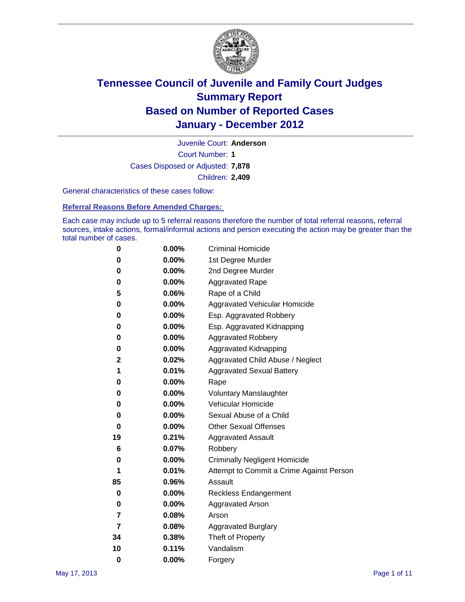

Court Number: **1** Juvenile Court: **Anderson** Cases Disposed or Adjusted: **7,878** Children: **2,409**

General characteristics of these cases follow:

**Referral Reasons Before Amended Charges:** 

Each case may include up to 5 referral reasons therefore the number of total referral reasons, referral sources, intake actions, formal/informal actions and person executing the action may be greater than the total number of cases.

| 0  | 0.00%    | <b>Criminal Homicide</b>                 |  |  |  |  |
|----|----------|------------------------------------------|--|--|--|--|
| 0  | 0.00%    | 1st Degree Murder                        |  |  |  |  |
| 0  | 0.00%    | 2nd Degree Murder                        |  |  |  |  |
| 0  | 0.00%    | <b>Aggravated Rape</b>                   |  |  |  |  |
| 5  | 0.06%    | Rape of a Child                          |  |  |  |  |
| 0  | 0.00%    | Aggravated Vehicular Homicide            |  |  |  |  |
| 0  | 0.00%    | Esp. Aggravated Robbery                  |  |  |  |  |
| 0  | 0.00%    | Esp. Aggravated Kidnapping               |  |  |  |  |
| 0  | 0.00%    | <b>Aggravated Robbery</b>                |  |  |  |  |
| 0  | 0.00%    | Aggravated Kidnapping                    |  |  |  |  |
| 2  | 0.02%    | Aggravated Child Abuse / Neglect         |  |  |  |  |
| 1  | 0.01%    | <b>Aggravated Sexual Battery</b>         |  |  |  |  |
| 0  | 0.00%    | Rape                                     |  |  |  |  |
| 0  | $0.00\%$ | <b>Voluntary Manslaughter</b>            |  |  |  |  |
| 0  | 0.00%    | Vehicular Homicide                       |  |  |  |  |
| 0  | 0.00%    | Sexual Abuse of a Child                  |  |  |  |  |
| 0  | 0.00%    | <b>Other Sexual Offenses</b>             |  |  |  |  |
| 19 | 0.21%    | <b>Aggravated Assault</b>                |  |  |  |  |
| 6  | 0.07%    | Robbery                                  |  |  |  |  |
| 0  | 0.00%    | <b>Criminally Negligent Homicide</b>     |  |  |  |  |
| 1  | 0.01%    | Attempt to Commit a Crime Against Person |  |  |  |  |
| 85 | 0.96%    | Assault                                  |  |  |  |  |
| 0  | 0.00%    | <b>Reckless Endangerment</b>             |  |  |  |  |
| 0  | 0.00%    | <b>Aggravated Arson</b>                  |  |  |  |  |
| 7  | 0.08%    | Arson                                    |  |  |  |  |
| 7  | 0.08%    | <b>Aggravated Burglary</b>               |  |  |  |  |
| 34 | 0.38%    | Theft of Property                        |  |  |  |  |
| 10 | 0.11%    | Vandalism                                |  |  |  |  |
| 0  | 0.00%    | Forgery                                  |  |  |  |  |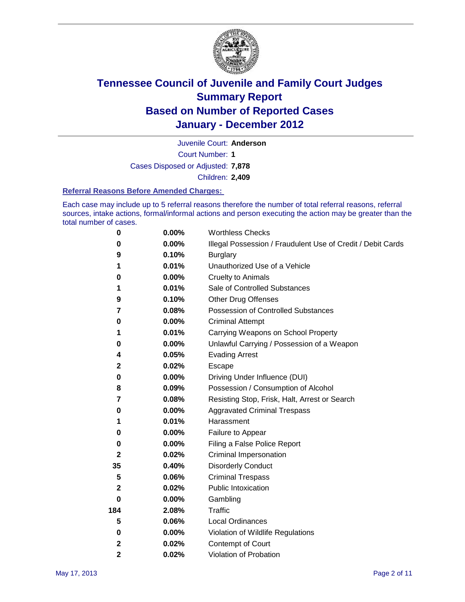

Juvenile Court: **Anderson**

Court Number: **1**

Cases Disposed or Adjusted: **7,878**

Children: **2,409**

#### **Referral Reasons Before Amended Charges:**

Each case may include up to 5 referral reasons therefore the number of total referral reasons, referral sources, intake actions, formal/informal actions and person executing the action may be greater than the total number of cases.

| $\pmb{0}$    | 0.00%    | <b>Worthless Checks</b>                                     |  |
|--------------|----------|-------------------------------------------------------------|--|
| 0            | 0.00%    | Illegal Possession / Fraudulent Use of Credit / Debit Cards |  |
| 9            | 0.10%    | <b>Burglary</b>                                             |  |
| 1            | 0.01%    | Unauthorized Use of a Vehicle                               |  |
| 0            | $0.00\%$ | <b>Cruelty to Animals</b>                                   |  |
| 1            | 0.01%    | Sale of Controlled Substances                               |  |
| 9            | 0.10%    | <b>Other Drug Offenses</b>                                  |  |
| 7            | 0.08%    | Possession of Controlled Substances                         |  |
| 0            | $0.00\%$ | <b>Criminal Attempt</b>                                     |  |
| 1            | 0.01%    | Carrying Weapons on School Property                         |  |
| 0            | 0.00%    | Unlawful Carrying / Possession of a Weapon                  |  |
| 4            | 0.05%    | <b>Evading Arrest</b>                                       |  |
| $\mathbf{2}$ | 0.02%    | Escape                                                      |  |
| 0            | $0.00\%$ | Driving Under Influence (DUI)                               |  |
| 8            | 0.09%    | Possession / Consumption of Alcohol                         |  |
| 7            | 0.08%    | Resisting Stop, Frisk, Halt, Arrest or Search               |  |
| 0            | $0.00\%$ | <b>Aggravated Criminal Trespass</b>                         |  |
| 1            | 0.01%    | Harassment                                                  |  |
| 0            | 0.00%    | Failure to Appear                                           |  |
| 0            | $0.00\%$ | Filing a False Police Report                                |  |
| $\mathbf{2}$ | 0.02%    | Criminal Impersonation                                      |  |
| 35           | 0.40%    | <b>Disorderly Conduct</b>                                   |  |
| 5            | 0.06%    | <b>Criminal Trespass</b>                                    |  |
| 2            | 0.02%    | Public Intoxication                                         |  |
| 0            | $0.00\%$ | Gambling                                                    |  |
| 184          | 2.08%    | <b>Traffic</b>                                              |  |
| 5            | 0.06%    | Local Ordinances                                            |  |
| 0            | 0.00%    | Violation of Wildlife Regulations                           |  |
| $\mathbf{2}$ | 0.02%    | Contempt of Court                                           |  |
| 2            | 0.02%    | Violation of Probation                                      |  |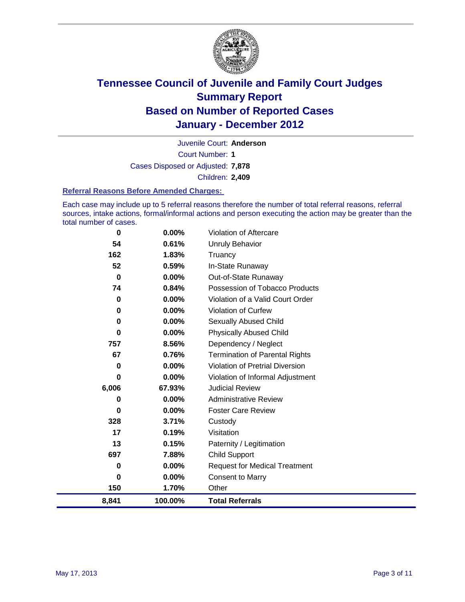

Court Number: **1** Juvenile Court: **Anderson** Cases Disposed or Adjusted: **7,878** Children: **2,409**

#### **Referral Reasons Before Amended Charges:**

Each case may include up to 5 referral reasons therefore the number of total referral reasons, referral sources, intake actions, formal/informal actions and person executing the action may be greater than the total number of cases.

| 0        | 0.00%   | Violation of Aftercare                 |
|----------|---------|----------------------------------------|
| 54       | 0.61%   | Unruly Behavior                        |
| 162      | 1.83%   | Truancy                                |
| 52       | 0.59%   | In-State Runaway                       |
| $\bf{0}$ | 0.00%   | Out-of-State Runaway                   |
| 74       | 0.84%   | Possession of Tobacco Products         |
| 0        | 0.00%   | Violation of a Valid Court Order       |
| 0        | 0.00%   | <b>Violation of Curfew</b>             |
| 0        | 0.00%   | <b>Sexually Abused Child</b>           |
| $\bf{0}$ | 0.00%   | <b>Physically Abused Child</b>         |
| 757      | 8.56%   | Dependency / Neglect                   |
| 67       | 0.76%   | <b>Termination of Parental Rights</b>  |
| 0        | 0.00%   | <b>Violation of Pretrial Diversion</b> |
| $\bf{0}$ | 0.00%   | Violation of Informal Adjustment       |
| 6,006    | 67.93%  | <b>Judicial Review</b>                 |
| 0        | 0.00%   | <b>Administrative Review</b>           |
| 0        | 0.00%   | <b>Foster Care Review</b>              |
| 328      | 3.71%   | Custody                                |
| 17       | 0.19%   | Visitation                             |
| 13       | 0.15%   | Paternity / Legitimation               |
| 697      | 7.88%   | Child Support                          |
| 0        | 0.00%   | <b>Request for Medical Treatment</b>   |
| 0        | 0.00%   | <b>Consent to Marry</b>                |
| 150      | 1.70%   | Other                                  |
| 8,841    | 100.00% | <b>Total Referrals</b>                 |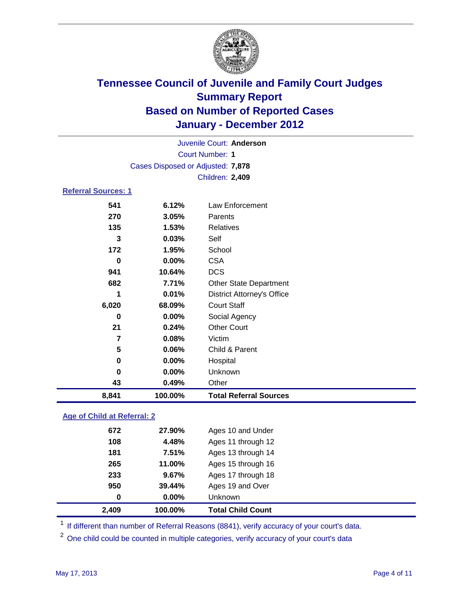

| Juvenile Court: Anderson    |                                   |                                   |  |  |  |
|-----------------------------|-----------------------------------|-----------------------------------|--|--|--|
| <b>Court Number: 1</b>      |                                   |                                   |  |  |  |
|                             | Cases Disposed or Adjusted: 7,878 |                                   |  |  |  |
|                             | Children: 2,409                   |                                   |  |  |  |
| <b>Referral Sources: 1</b>  |                                   |                                   |  |  |  |
| 541                         | 6.12%                             | Law Enforcement                   |  |  |  |
| 270                         | 3.05%                             | Parents                           |  |  |  |
| 135                         | 1.53%                             | <b>Relatives</b>                  |  |  |  |
| 3                           | 0.03%                             | Self                              |  |  |  |
| 172                         | 1.95%                             | School                            |  |  |  |
| $\bf{0}$                    | 0.00%                             | <b>CSA</b>                        |  |  |  |
| 941                         | 10.64%                            | <b>DCS</b>                        |  |  |  |
| 682                         | 7.71%                             | <b>Other State Department</b>     |  |  |  |
| 1                           | 0.01%                             | <b>District Attorney's Office</b> |  |  |  |
| 6,020                       | 68.09%                            | <b>Court Staff</b>                |  |  |  |
| 0                           | 0.00%                             | Social Agency                     |  |  |  |
| 21                          | 0.24%                             | <b>Other Court</b>                |  |  |  |
| $\overline{7}$              | 0.08%                             | Victim                            |  |  |  |
| 5                           | 0.06%                             | Child & Parent                    |  |  |  |
| 0                           | 0.00%                             | Hospital                          |  |  |  |
| 0                           | 0.00%                             | Unknown                           |  |  |  |
| 43                          | 0.49%                             | Other                             |  |  |  |
| 8,841                       | 100.00%                           | <b>Total Referral Sources</b>     |  |  |  |
| Ago of Child at Deferral: 2 |                                   |                                   |  |  |  |

### **Age of Child at Referral: 2**

| 2,409 | 100.00%       | <b>Total Child Count</b> |
|-------|---------------|--------------------------|
|       | $0.00\%$<br>0 | <b>Unknown</b>           |
| 950   | 39.44%        | Ages 19 and Over         |
| 233   | 9.67%         | Ages 17 through 18       |
| 265   | 11.00%        | Ages 15 through 16       |
| 181   | 7.51%         | Ages 13 through 14       |
| 108   | 4.48%         | Ages 11 through 12       |
|       | 672<br>27.90% | Ages 10 and Under        |
|       |               |                          |

<sup>1</sup> If different than number of Referral Reasons (8841), verify accuracy of your court's data.

<sup>2</sup> One child could be counted in multiple categories, verify accuracy of your court's data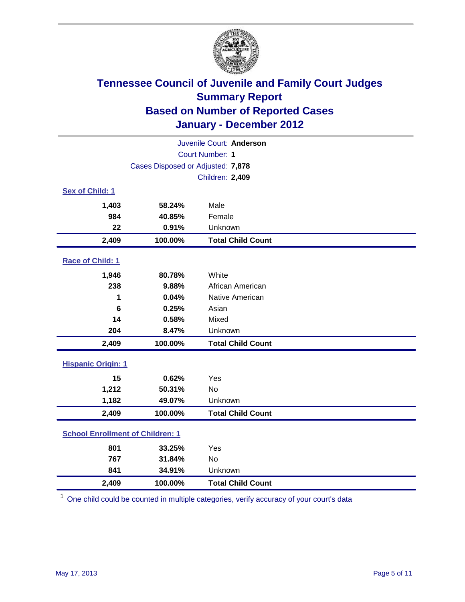

| Juvenile Court: Anderson                |                                   |                          |  |
|-----------------------------------------|-----------------------------------|--------------------------|--|
| <b>Court Number: 1</b>                  |                                   |                          |  |
|                                         | Cases Disposed or Adjusted: 7,878 |                          |  |
|                                         |                                   | Children: 2,409          |  |
| Sex of Child: 1                         |                                   |                          |  |
| 1,403                                   | 58.24%                            | Male                     |  |
| 984                                     | 40.85%                            | Female                   |  |
| 22                                      | 0.91%                             | Unknown                  |  |
| 2,409                                   | 100.00%                           | <b>Total Child Count</b> |  |
| Race of Child: 1                        |                                   |                          |  |
| 1,946                                   | 80.78%                            | White                    |  |
| 238                                     | 9.88%                             | African American         |  |
| 1                                       | 0.04%                             | Native American          |  |
| 6                                       | 0.25%                             | Asian                    |  |
| 14                                      | 0.58%                             | Mixed                    |  |
| 204                                     | 8.47%                             | Unknown                  |  |
| 2,409                                   | 100.00%                           | <b>Total Child Count</b> |  |
| <b>Hispanic Origin: 1</b>               |                                   |                          |  |
| 15                                      | 0.62%                             | Yes                      |  |
| 1,212                                   | 50.31%                            | <b>No</b>                |  |
| 1,182                                   | 49.07%                            | Unknown                  |  |
| 2,409                                   | 100.00%                           | <b>Total Child Count</b> |  |
| <b>School Enrollment of Children: 1</b> |                                   |                          |  |
| 801                                     | 33.25%                            | Yes                      |  |
| 767                                     | 31.84%                            | <b>No</b>                |  |
| 841                                     | 34.91%                            | Unknown                  |  |
| 2,409                                   | 100.00%                           | <b>Total Child Count</b> |  |

<sup>1</sup> One child could be counted in multiple categories, verify accuracy of your court's data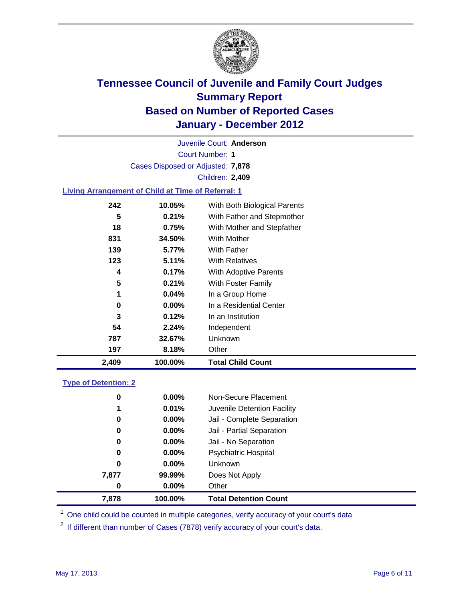

Court Number: **1** Juvenile Court: **Anderson** Cases Disposed or Adjusted: **7,878** Children: **2,409**

### **Living Arrangement of Child at Time of Referral: 1**

| 2,409 | 100.00%  | <b>Total Child Count</b>     |
|-------|----------|------------------------------|
| 197   | 8.18%    | Other                        |
| 787   | 32.67%   | Unknown                      |
| 54    | 2.24%    | Independent                  |
| 3     | 0.12%    | In an Institution            |
| 0     | $0.00\%$ | In a Residential Center      |
| 1     | 0.04%    | In a Group Home              |
| 5     | 0.21%    | With Foster Family           |
| 4     | 0.17%    | With Adoptive Parents        |
| 123   | 5.11%    | <b>With Relatives</b>        |
| 139   | 5.77%    | With Father                  |
| 831   | 34.50%   | <b>With Mother</b>           |
| 18    | 0.75%    | With Mother and Stepfather   |
| 5     | 0.21%    | With Father and Stepmother   |
| 242   | 10.05%   | With Both Biological Parents |
|       |          |                              |

### **Type of Detention: 2**

| 7,878 | 100.00%  | <b>Total Detention Count</b> |  |
|-------|----------|------------------------------|--|
| 0     | 0.00%    | Other                        |  |
| 7,877 | 99.99%   | Does Not Apply               |  |
| 0     | $0.00\%$ | <b>Unknown</b>               |  |
| 0     | $0.00\%$ | Psychiatric Hospital         |  |
| 0     | 0.00%    | Jail - No Separation         |  |
| 0     | $0.00\%$ | Jail - Partial Separation    |  |
| 0     | 0.00%    | Jail - Complete Separation   |  |
| 1     | 0.01%    | Juvenile Detention Facility  |  |
| 0     | $0.00\%$ | Non-Secure Placement         |  |
|       |          |                              |  |

<sup>1</sup> One child could be counted in multiple categories, verify accuracy of your court's data

<sup>2</sup> If different than number of Cases (7878) verify accuracy of your court's data.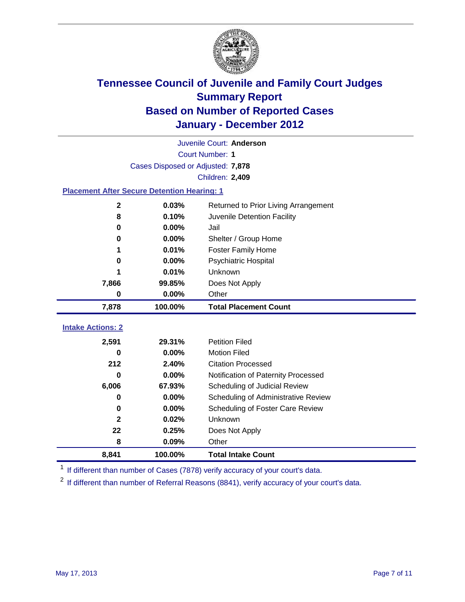

|                                                    | Juvenile Court: Anderson          |                                      |  |  |
|----------------------------------------------------|-----------------------------------|--------------------------------------|--|--|
| <b>Court Number: 1</b>                             |                                   |                                      |  |  |
|                                                    | Cases Disposed or Adjusted: 7,878 |                                      |  |  |
|                                                    |                                   | <b>Children: 2,409</b>               |  |  |
| <b>Placement After Secure Detention Hearing: 1</b> |                                   |                                      |  |  |
| $\mathbf 2$                                        | 0.03%                             | Returned to Prior Living Arrangement |  |  |
| 8                                                  | 0.10%                             | Juvenile Detention Facility          |  |  |
| $\bf{0}$                                           | 0.00%                             | Jail                                 |  |  |
| 0                                                  | 0.00%                             | Shelter / Group Home                 |  |  |
| 1                                                  | 0.01%                             | <b>Foster Family Home</b>            |  |  |
| 0                                                  | 0.00%                             | Psychiatric Hospital                 |  |  |
|                                                    | 0.01%                             | Unknown                              |  |  |
| 7,866                                              | 99.85%                            | Does Not Apply                       |  |  |
| $\pmb{0}$                                          | 0.00%                             | Other                                |  |  |
| 7,878                                              | 100.00%                           | <b>Total Placement Count</b>         |  |  |
| <b>Intake Actions: 2</b>                           |                                   |                                      |  |  |
|                                                    |                                   |                                      |  |  |
| 2,591                                              | 29.31%                            | <b>Petition Filed</b>                |  |  |
| 0                                                  | 0.00%                             | <b>Motion Filed</b>                  |  |  |
| 212                                                | 2.40%                             | <b>Citation Processed</b>            |  |  |
| U                                                  | 0.00%                             | Notification of Paternity Processed  |  |  |
| 6,006                                              | 67.93%                            | Scheduling of Judicial Review        |  |  |
| $\bf{0}$                                           | 0.00%                             | Scheduling of Administrative Review  |  |  |
| 0                                                  | 0.00%                             | Scheduling of Foster Care Review     |  |  |
| $\mathbf{2}$                                       | 0.02%                             | Unknown                              |  |  |
| 22                                                 | 0.25%                             | Does Not Apply                       |  |  |
| 8                                                  | 0.09%                             | Other                                |  |  |
| 8,841                                              | 100.00%                           | <b>Total Intake Count</b>            |  |  |

<sup>1</sup> If different than number of Cases (7878) verify accuracy of your court's data.

<sup>2</sup> If different than number of Referral Reasons (8841), verify accuracy of your court's data.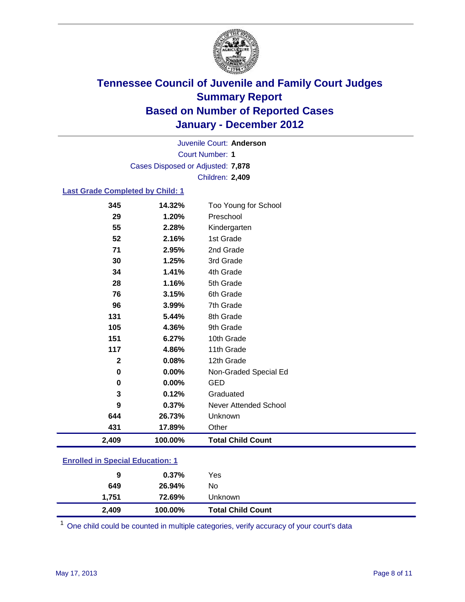

Court Number: **1** Juvenile Court: **Anderson** Cases Disposed or Adjusted: **7,878** Children: **2,409**

#### **Last Grade Completed by Child: 1**

| 2,409        | 100.00%  | <b>Total Child Count</b> |  |
|--------------|----------|--------------------------|--|
| 431          | 17.89%   | Other                    |  |
| 644          | 26.73%   | Unknown                  |  |
| 9            | 0.37%    | Never Attended School    |  |
| 3            | 0.12%    | Graduated                |  |
| 0            | $0.00\%$ | <b>GED</b>               |  |
| $\mathbf 0$  | 0.00%    | Non-Graded Special Ed    |  |
| $\mathbf{2}$ | 0.08%    | 12th Grade               |  |
| 117          | 4.86%    | 11th Grade               |  |
| 151          | 6.27%    | 10th Grade               |  |
| 105          | 4.36%    | 9th Grade                |  |
| 131          | 5.44%    | 8th Grade                |  |
| 96           | 3.99%    | 7th Grade                |  |
| 76           | 3.15%    | 6th Grade                |  |
| 28           | 1.16%    | 5th Grade                |  |
| 34           | 1.41%    | 4th Grade                |  |
| 30           | 1.25%    | 3rd Grade                |  |
| 71           | 2.95%    | 2nd Grade                |  |
| 52           | 2.16%    | 1st Grade                |  |
| 55           | 2.28%    | Kindergarten             |  |
| 29           | 1.20%    | Preschool                |  |
| 345          | 14.32%   | Too Young for School     |  |

### **Enrolled in Special Education: 1**

| 2,409 | 100.00%  | <b>Total Child Count</b> |  |
|-------|----------|--------------------------|--|
| 1.751 | 72.69%   | Unknown                  |  |
| 649   | 26.94%   | No                       |  |
| 9     | $0.37\%$ | Yes                      |  |
|       |          |                          |  |

One child could be counted in multiple categories, verify accuracy of your court's data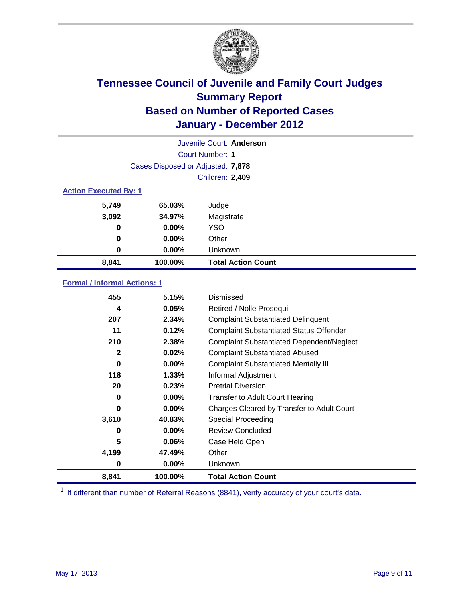

|                              |                                   | Juvenile Court: Anderson  |  |
|------------------------------|-----------------------------------|---------------------------|--|
| Court Number: 1              |                                   |                           |  |
|                              | Cases Disposed or Adjusted: 7,878 |                           |  |
|                              |                                   | Children: 2,409           |  |
| <b>Action Executed By: 1</b> |                                   |                           |  |
| 5,749                        | 65.03%                            | Judge                     |  |
| 3,092                        | 34.97%                            | Magistrate                |  |
| 0                            | $0.00\%$                          | <b>YSO</b>                |  |
| 0                            | $0.00\%$                          | Other                     |  |
| 0                            | 0.00%                             | Unknown                   |  |
| 8,841                        | 100.00%                           | <b>Total Action Count</b> |  |

### **Formal / Informal Actions: 1**

| 0.02%<br>2<br>$0.00\%$<br>0<br>118<br>1.33%<br>20<br>0.23%<br>$0.00\%$<br>0<br>$0.00\%$<br>0<br>40.83%<br>3,610<br>$0.00\%$<br>0<br>5<br>$0.06\%$<br>4,199<br>47.49%<br>$0.00\%$<br>0 | <b>Complaint Substantiated Abused</b><br><b>Complaint Substantiated Mentally III</b><br>Informal Adjustment<br><b>Pretrial Diversion</b><br><b>Transfer to Adult Court Hearing</b><br>Charges Cleared by Transfer to Adult Court<br><b>Special Proceeding</b><br><b>Review Concluded</b><br>Case Held Open<br>Other<br>Unknown |
|---------------------------------------------------------------------------------------------------------------------------------------------------------------------------------------|--------------------------------------------------------------------------------------------------------------------------------------------------------------------------------------------------------------------------------------------------------------------------------------------------------------------------------|
|                                                                                                                                                                                       |                                                                                                                                                                                                                                                                                                                                |
|                                                                                                                                                                                       |                                                                                                                                                                                                                                                                                                                                |
|                                                                                                                                                                                       |                                                                                                                                                                                                                                                                                                                                |
|                                                                                                                                                                                       |                                                                                                                                                                                                                                                                                                                                |
|                                                                                                                                                                                       |                                                                                                                                                                                                                                                                                                                                |
|                                                                                                                                                                                       |                                                                                                                                                                                                                                                                                                                                |
|                                                                                                                                                                                       |                                                                                                                                                                                                                                                                                                                                |
|                                                                                                                                                                                       |                                                                                                                                                                                                                                                                                                                                |
|                                                                                                                                                                                       |                                                                                                                                                                                                                                                                                                                                |
|                                                                                                                                                                                       |                                                                                                                                                                                                                                                                                                                                |
|                                                                                                                                                                                       |                                                                                                                                                                                                                                                                                                                                |
| 210<br>2.38%                                                                                                                                                                          | <b>Complaint Substantiated Dependent/Neglect</b>                                                                                                                                                                                                                                                                               |
| 11                                                                                                                                                                                    | <b>Complaint Substantiated Status Offender</b>                                                                                                                                                                                                                                                                                 |
| 207                                                                                                                                                                                   | <b>Complaint Substantiated Delinquent</b>                                                                                                                                                                                                                                                                                      |
| 4                                                                                                                                                                                     | Retired / Nolle Prosequi                                                                                                                                                                                                                                                                                                       |
|                                                                                                                                                                                       | Dismissed                                                                                                                                                                                                                                                                                                                      |
|                                                                                                                                                                                       | 455<br>5.15%<br>0.05%<br>2.34%<br>0.12%                                                                                                                                                                                                                                                                                        |

<sup>1</sup> If different than number of Referral Reasons (8841), verify accuracy of your court's data.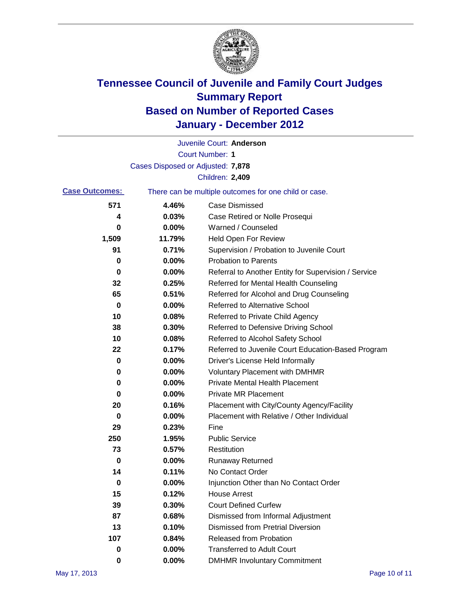

|                       |                                                       | Juvenile Court: Anderson                             |  |
|-----------------------|-------------------------------------------------------|------------------------------------------------------|--|
|                       |                                                       | <b>Court Number: 1</b>                               |  |
|                       | Cases Disposed or Adjusted: 7,878                     |                                                      |  |
|                       |                                                       | Children: 2,409                                      |  |
| <b>Case Outcomes:</b> | There can be multiple outcomes for one child or case. |                                                      |  |
| 571                   | 4.46%                                                 | <b>Case Dismissed</b>                                |  |
| 4                     | 0.03%                                                 | Case Retired or Nolle Prosequi                       |  |
| 0                     | 0.00%                                                 | Warned / Counseled                                   |  |
| 1,509                 | 11.79%                                                | Held Open For Review                                 |  |
| 91                    | 0.71%                                                 | Supervision / Probation to Juvenile Court            |  |
| 0                     | 0.00%                                                 | <b>Probation to Parents</b>                          |  |
| 0                     | 0.00%                                                 | Referral to Another Entity for Supervision / Service |  |
| 32                    | 0.25%                                                 | Referred for Mental Health Counseling                |  |
| 65                    | 0.51%                                                 | Referred for Alcohol and Drug Counseling             |  |
| 0                     | 0.00%                                                 | <b>Referred to Alternative School</b>                |  |
| 10                    | 0.08%                                                 | Referred to Private Child Agency                     |  |
| 38                    | 0.30%                                                 | Referred to Defensive Driving School                 |  |
| 10                    | 0.08%                                                 | Referred to Alcohol Safety School                    |  |
| 22                    | 0.17%                                                 | Referred to Juvenile Court Education-Based Program   |  |
| 0                     | 0.00%                                                 | Driver's License Held Informally                     |  |
| 0                     | 0.00%                                                 | <b>Voluntary Placement with DMHMR</b>                |  |
| 0                     | 0.00%                                                 | <b>Private Mental Health Placement</b>               |  |
| 0                     | 0.00%                                                 | <b>Private MR Placement</b>                          |  |
| 20                    | 0.16%                                                 | Placement with City/County Agency/Facility           |  |
| 0                     | 0.00%                                                 | Placement with Relative / Other Individual           |  |
| 29                    | 0.23%                                                 | Fine                                                 |  |
| 250                   | 1.95%                                                 | <b>Public Service</b>                                |  |
| 73                    | 0.57%                                                 | Restitution                                          |  |
| 0                     | 0.00%                                                 | <b>Runaway Returned</b>                              |  |
| 14                    | 0.11%                                                 | No Contact Order                                     |  |
| 0                     | 0.00%                                                 | Injunction Other than No Contact Order               |  |
| 15                    | 0.12%                                                 | <b>House Arrest</b>                                  |  |
| 39                    | 0.30%                                                 | <b>Court Defined Curfew</b>                          |  |
| 87                    | 0.68%                                                 | Dismissed from Informal Adjustment                   |  |
| 13                    | 0.10%                                                 | <b>Dismissed from Pretrial Diversion</b>             |  |
| 107                   | 0.84%                                                 | Released from Probation                              |  |
| 0                     | 0.00%                                                 | <b>Transferred to Adult Court</b>                    |  |
| 0                     | $0.00\%$                                              | <b>DMHMR Involuntary Commitment</b>                  |  |